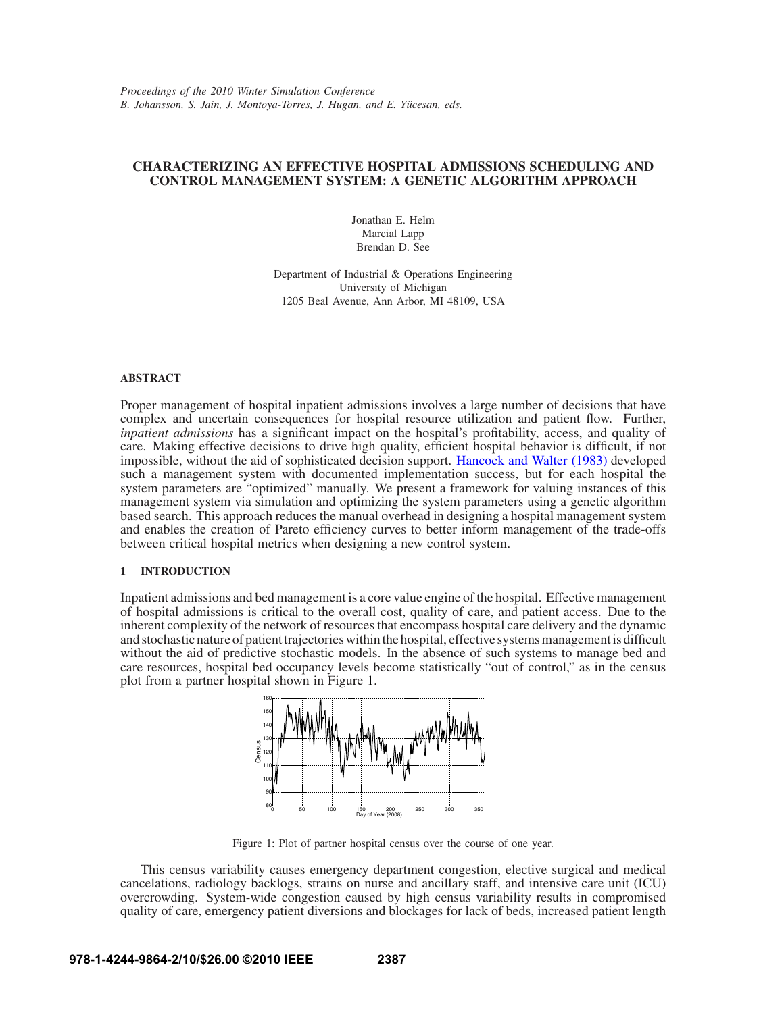# **CHARACTERIZING AN EFFECTIVE HOSPITAL ADMISSIONS SCHEDULING AND CONTROL MANAGEMENT SYSTEM: A GENETIC ALGORITHM APPROACH**

Jonathan E. Helm Marcial Lapp Brendan D. See

Department of Industrial & Operations Engineering University of Michigan 1205 Beal Avenue, Ann Arbor, MI 48109, USA

### **ABSTRACT**

Proper management of hospital inpatient admissions involves a large number of decisions that have complex and uncertain consequences for hospital resource utilization and patient flow. Further, *inpatient admissions* has a significant impact on the hospital's profitability, access, and quality of care. Making effective decisions to drive high quality, efficient hospital behavior is difficult, if not impossible, without the aid of sophisticated decision support. Hancock and Walter (1983) developed such a management system with documented implementation success, but for each hospital the system parameters are "optimized" manually. We present a framework for valuing instances of this management system via simulation and optimizing the system parameters using a genetic algorithm based search. This approach reduces the manual overhead in designing a hospital management system and enables the creation of Pareto efficiency curves to better inform management of the trade-offs between critical hospital metrics when designing a new control system.

# **1 INTRODUCTION**

Inpatient admissions and bed management is a core value engine of the hospital. Effective management of hospital admissions is critical to the overall cost, quality of care, and patient access. Due to the inherent complexity of the network of resources that encompass hospital care delivery and the dynamic and stochastic nature of patient trajectories within the hospital, effective systems management is difficult without the aid of predictive stochastic models. In the absence of such systems to manage bed and care resources, hospital bed occupancy levels become statistically "out of control," as in the census plot from a partner hospital shown in Figure 1.



Figure 1: Plot of partner hospital census over the course of one year.

This census variability causes emergency department congestion, elective surgical and medical cancelations, radiology backlogs, strains on nurse and ancillary staff, and intensive care unit (ICU) overcrowding. System-wide congestion caused by high census variability results in compromised quality of care, emergency patient diversions and blockages for lack of beds, increased patient length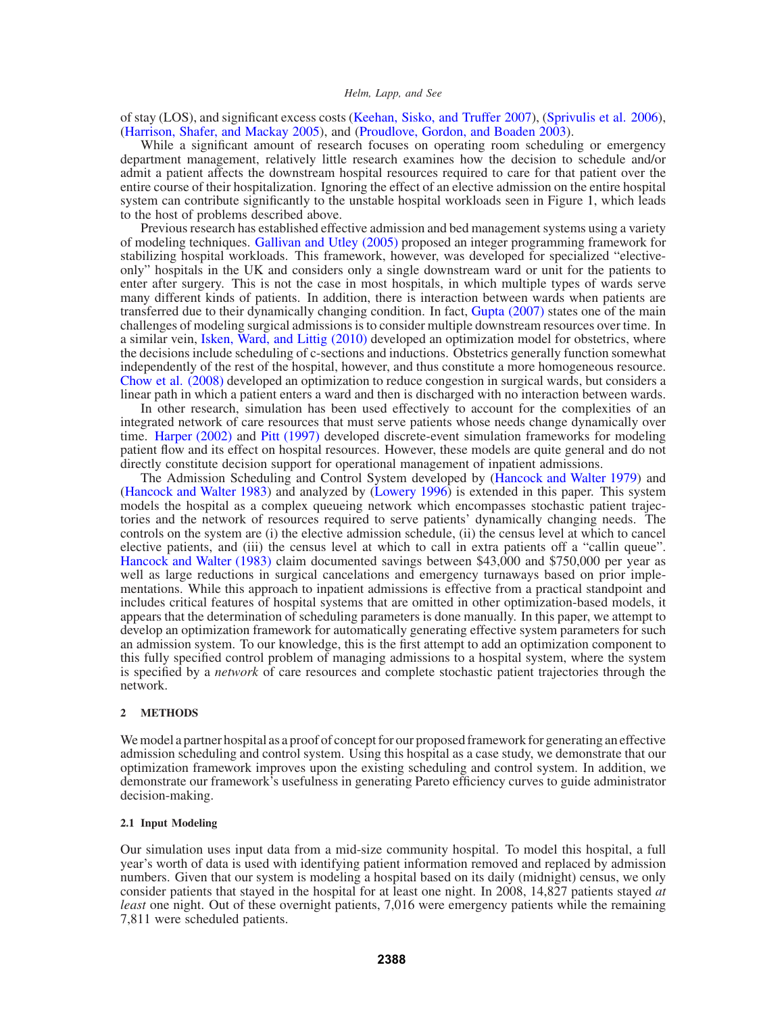of stay (LOS), and significant excess costs (Keehan, Sisko, and Truffer 2007), (Sprivulis et al. 2006), (Harrison, Shafer, and Mackay 2005), and (Proudlove, Gordon, and Boaden 2003).

While a significant amount of research focuses on operating room scheduling or emergency department management, relatively little research examines how the decision to schedule and/or admit a patient affects the downstream hospital resources required to care for that patient over the entire course of their hospitalization. Ignoring the effect of an elective admission on the entire hospital system can contribute significantly to the unstable hospital workloads seen in Figure 1, which leads to the host of problems described above.

Previous research has established effective admission and bed management systems using a variety of modeling techniques. Gallivan and Utley (2005) proposed an integer programming framework for stabilizing hospital workloads. This framework, however, was developed for specialized "electiveonly" hospitals in the UK and considers only a single downstream ward or unit for the patients to enter after surgery. This is not the case in most hospitals, in which multiple types of wards serve many different kinds of patients. In addition, there is interaction between wards when patients are transferred due to their dynamically changing condition. In fact, Gupta (2007) states one of the main challenges of modeling surgical admissions is to consider multiple downstream resources over time. In a similar vein, Isken, Ward, and Littig (2010) developed an optimization model for obstetrics, where the decisions include scheduling of c-sections and inductions. Obstetrics generally function somewhat independently of the rest of the hospital, however, and thus constitute a more homogeneous resource. Chow et al. (2008) developed an optimization to reduce congestion in surgical wards, but considers a linear path in which a patient enters a ward and then is discharged with no interaction between wards.

In other research, simulation has been used effectively to account for the complexities of an integrated network of care resources that must serve patients whose needs change dynamically over time. Harper (2002) and Pitt (1997) developed discrete-event simulation frameworks for modeling patient flow and its effect on hospital resources. However, these models are quite general and do not directly constitute decision support for operational management of inpatient admissions.

The Admission Scheduling and Control System developed by (Hancock and Walter 1979) and (Hancock and Walter 1983) and analyzed by (Lowery 1996) is extended in this paper. This system models the hospital as a complex queueing network which encompasses stochastic patient trajectories and the network of resources required to serve patients' dynamically changing needs. The controls on the system are (i) the elective admission schedule, (ii) the census level at which to cancel elective patients, and (iii) the census level at which to call in extra patients off a "callin queue". Hancock and Walter (1983) claim documented savings between \$43,000 and \$750,000 per year as well as large reductions in surgical cancelations and emergency turnaways based on prior implementations. While this approach to inpatient admissions is effective from a practical standpoint and includes critical features of hospital systems that are omitted in other optimization-based models, it appears that the determination of scheduling parameters is done manually. In this paper, we attempt to develop an optimization framework for automatically generating effective system parameters for such an admission system. To our knowledge, this is the first attempt to add an optimization component to this fully specified control problem of managing admissions to a hospital system, where the system is specified by a *network* of care resources and complete stochastic patient trajectories through the network.

### **2 METHODS**

We model a partner hospital as a proof of concept for our proposed framework for generating an effective admission scheduling and control system. Using this hospital as a case study, we demonstrate that our optimization framework improves upon the existing scheduling and control system. In addition, we demonstrate our framework's usefulness in generating Pareto efficiency curves to guide administrator decision-making.

### **2.1 Input Modeling**

Our simulation uses input data from a mid-size community hospital. To model this hospital, a full year's worth of data is used with identifying patient information removed and replaced by admission numbers. Given that our system is modeling a hospital based on its daily (midnight) census, we only consider patients that stayed in the hospital for at least one night. In 2008, 14,827 patients stayed *at least* one night. Out of these overnight patients, 7,016 were emergency patients while the remaining 7,811 were scheduled patients.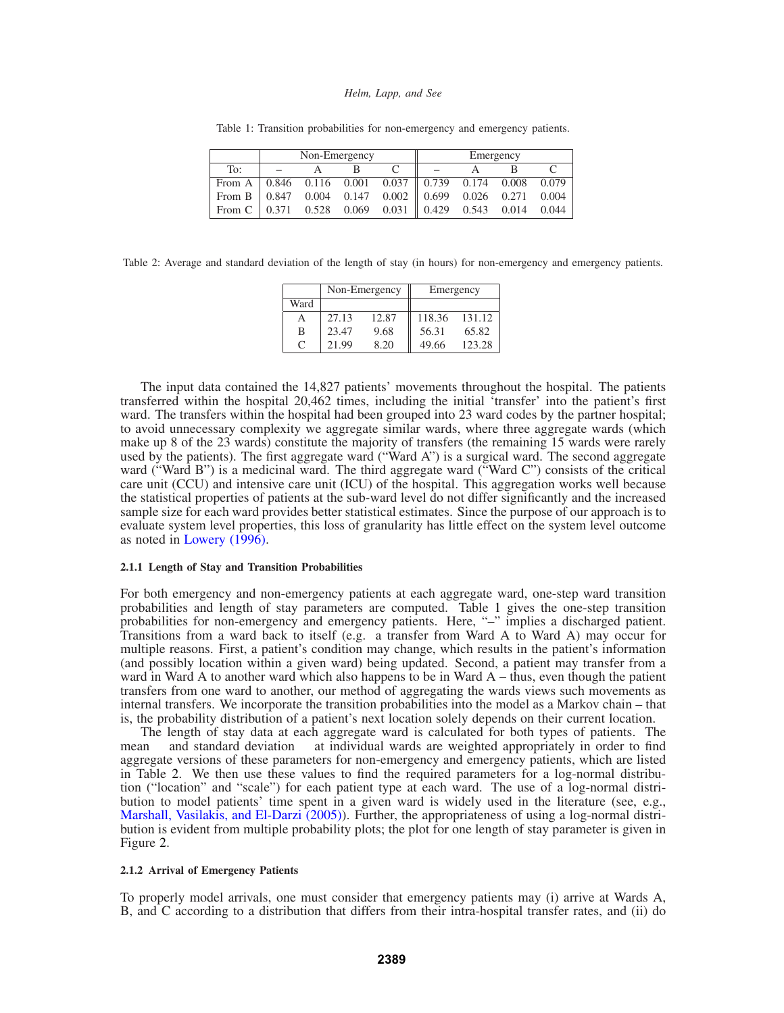|                                                                            | Non-Emergency |  | Emergency |  |  |  |  |  |
|----------------------------------------------------------------------------|---------------|--|-----------|--|--|--|--|--|
| To:                                                                        |               |  |           |  |  |  |  |  |
| From A   $0.846$ $0.116$ $0.001$ $0.037$   $0.739$ $0.174$ $0.008$ $0.079$ |               |  |           |  |  |  |  |  |
| From B $\vert$ 0.847 0.004 0.147 0.002 $\vert$ 0.699 0.026 0.271 0.004     |               |  |           |  |  |  |  |  |
| From C   $0.371$ $0.528$ $0.069$ $0.031$ $0.429$ $0.543$ $0.014$ $0.044$   |               |  |           |  |  |  |  |  |

Table 1: Transition probabilities for non-emergency and emergency patients.

Table 2: Average and standard deviation of the length of stay (in hours) for non-emergency and emergency patients.

|               |       | Non-Emergency | Emergency |        |  |  |  |
|---------------|-------|---------------|-----------|--------|--|--|--|
| Ward          | u     |               | и         |        |  |  |  |
|               | 27.13 | 12.87         | 118.36    | 131.12 |  |  |  |
| B             | 23.47 | 9.68          | 56.31     | 65.82  |  |  |  |
| $\mathcal{C}$ | 21.99 | 8.20          | 49.66     | 123.28 |  |  |  |

The input data contained the 14,827 patients' movements throughout the hospital. The patients transferred within the hospital 20,462 times, including the initial 'transfer' into the patient's first ward. The transfers within the hospital had been grouped into 23 ward codes by the partner hospital; to avoid unnecessary complexity we aggregate similar wards, where three aggregate wards (which make up 8 of the 23 wards) constitute the majority of transfers (the remaining 15 wards were rarely used by the patients). The first aggregate ward ("Ward A") is a surgical ward. The second aggregate ward ("Ward B") is a medicinal ward. The third aggregate ward ("Ward C") consists of the critical care unit (CCU) and intensive care unit (ICU) of the hospital. This aggregation works well because the statistical properties of patients at the sub-ward level do not differ significantly and the increased sample size for each ward provides better statistical estimates. Since the purpose of our approach is to evaluate system level properties, this loss of granularity has little effect on the system level outcome as noted in Lowery (1996).

#### **2.1.1 Length of Stay and Transition Probabilities**

For both emergency and non-emergency patients at each aggregate ward, one-step ward transition probabilities and length of stay parameters are computed. Table 1 gives the one-step transition probabilities for non-emergency and emergency patients. Here, "–" implies a discharged patient. Transitions from a ward back to itself (e.g. a transfer from Ward A to Ward A) may occur for multiple reasons. First, a patient's condition may change, which results in the patient's information (and possibly location within a given ward) being updated. Second, a patient may transfer from a ward in Ward A to another ward which also happens to be in Ward A – thus, even though the patient transfers from one ward to another, our method of aggregating the wards views such movements as internal transfers. We incorporate the transition probabilities into the model as a Markov chain – that is, the probability distribution of a patient's next location solely depends on their current location.

The length of stay data at each aggregate ward is calculated for both types of patients. The mean  $\mu$  and standard deviation  $\sigma$  at individual wards are weighted appropriately in order to find aggregate versions of these parameters for non-emergency and emergency patients, which are listed in Table 2. We then use these values to find the required parameters for a log-normal distribution ("location" and "scale") for each patient type at each ward. The use of a log-normal distribution to model patients' time spent in a given ward is widely used in the literature (see, e.g., Marshall, Vasilakis, and El-Darzi (2005)). Further, the appropriateness of using a log-normal distribution is evident from multiple probability plots; the plot for one length of stay parameter is given in Figure 2.

### **2.1.2 Arrival of Emergency Patients**

To properly model arrivals, one must consider that emergency patients may (i) arrive at Wards A, B, and C according to a distribution that differs from their intra-hospital transfer rates, and (ii) do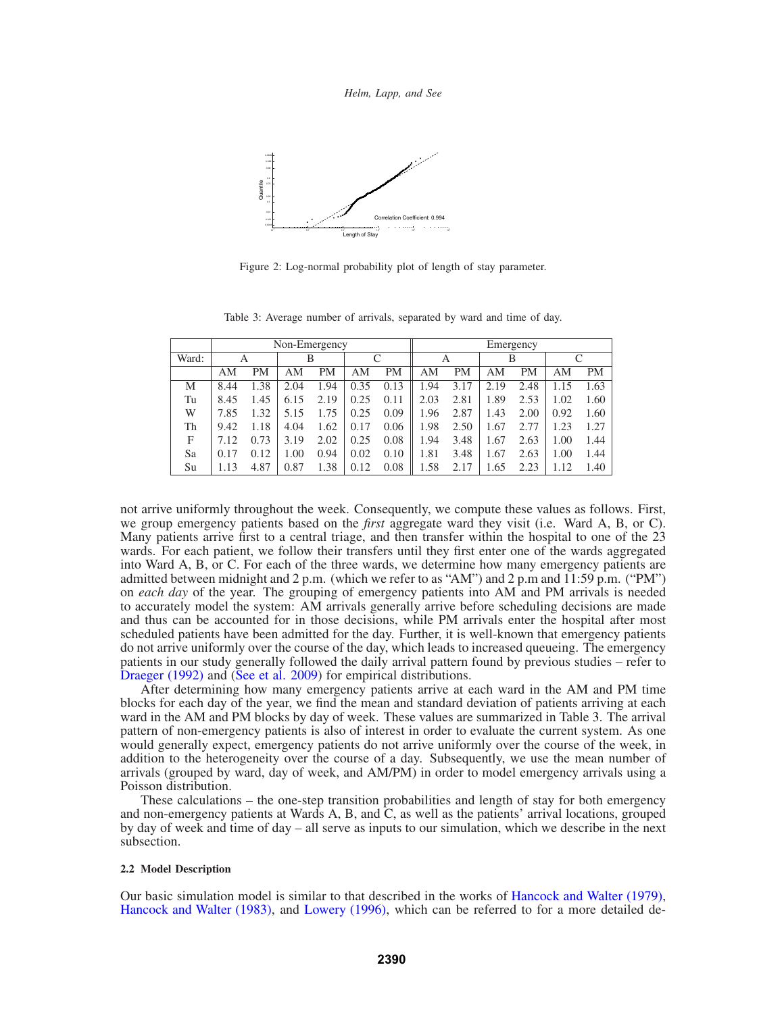

Figure 2: Log-normal probability plot of length of stay parameter.

Table 3: Average number of arrivals, separated by ward and time of day.

|       | Non-Emergency |      |      |      |      |      | Emergency |      |      |      |      |      |  |
|-------|---------------|------|------|------|------|------|-----------|------|------|------|------|------|--|
| Ward: | А             |      |      | В    |      |      |           | Α    |      | В    |      |      |  |
|       | AΜ            | PM   | AΜ   | PM   | AM   | PM   | AM        | PM   | AΜ   | PM   | AM   | PM   |  |
| M     | 8.44          | 1.38 | 2.04 | 1.94 | 0.35 | 0.13 | 1.94      | 3.17 | 2.19 | 2.48 | 1.15 | 1.63 |  |
| Tu    | 8.45          | .45  | 6.15 | 2.19 | 0.25 | 0.11 | 2.03      | 2.81 | 1.89 | 2.53 | 1.02 | 1.60 |  |
| W     | 7.85          | 1.32 | 5.15 | .75  | 0.25 | 0.09 | 1.96      | 2.87 | 1.43 | 2.00 | 0.92 | 1.60 |  |
| Th    | 9.42          | 1.18 | 4.04 | 1.62 | 0.17 | 0.06 | 1.98      | 2.50 | 1.67 | 2.77 | 1.23 | 1.27 |  |
| F     | 7.12          | 0.73 | 3.19 | 2.02 | 0.25 | 0.08 | 1.94      | 3.48 | 1.67 | 2.63 | 1.00 | 1.44 |  |
| Sa    | 0.17          | 0.12 | 1.00 | 0.94 | 0.02 | 0.10 | 1.81      | 3.48 | 1.67 | 2.63 | 1.00 | 1.44 |  |
| Su    | 1.13          | 4.87 | 0.87 | 1.38 | 0.12 | 0.08 | 1.58      | 2.17 | 1.65 | 2.23 | 1.12 | 1.40 |  |

not arrive uniformly throughout the week. Consequently, we compute these values as follows. First, we group emergency patients based on the *first* aggregate ward they visit (i.e. Ward A, B, or C). Many patients arrive first to a central triage, and then transfer within the hospital to one of the 23 wards. For each patient, we follow their transfers until they first enter one of the wards aggregated into Ward A, B, or C. For each of the three wards, we determine how many emergency patients are admitted between midnight and 2 p.m. (which we refer to as "AM") and 2 p.m and 11:59 p.m. ("PM") on *each day* of the year. The grouping of emergency patients into AM and PM arrivals is needed to accurately model the system: AM arrivals generally arrive before scheduling decisions are made and thus can be accounted for in those decisions, while PM arrivals enter the hospital after most scheduled patients have been admitted for the day. Further, it is well-known that emergency patients do not arrive uniformly over the course of the day, which leads to increased queueing. The emergency patients in our study generally followed the daily arrival pattern found by previous studies – refer to Draeger (1992) and (See et al. 2009) for empirical distributions.

After determining how many emergency patients arrive at each ward in the AM and PM time blocks for each day of the year, we find the mean and standard deviation of patients arriving at each ward in the AM and PM blocks by day of week. These values are summarized in Table 3. The arrival pattern of non-emergency patients is also of interest in order to evaluate the current system. As one would generally expect, emergency patients do not arrive uniformly over the course of the week, in addition to the heterogeneity over the course of a day. Subsequently, we use the mean number of arrivals (grouped by ward, day of week, and AM/PM) in order to model emergency arrivals using a Poisson distribution.

These calculations – the one-step transition probabilities and length of stay for both emergency and non-emergency patients at Wards A, B, and C, as well as the patients' arrival locations, grouped by day of week and time of day – all serve as inputs to our simulation, which we describe in the next subsection.

### **2.2 Model Description**

Our basic simulation model is similar to that described in the works of Hancock and Walter (1979), Hancock and Walter (1983), and Lowery (1996), which can be referred to for a more detailed de-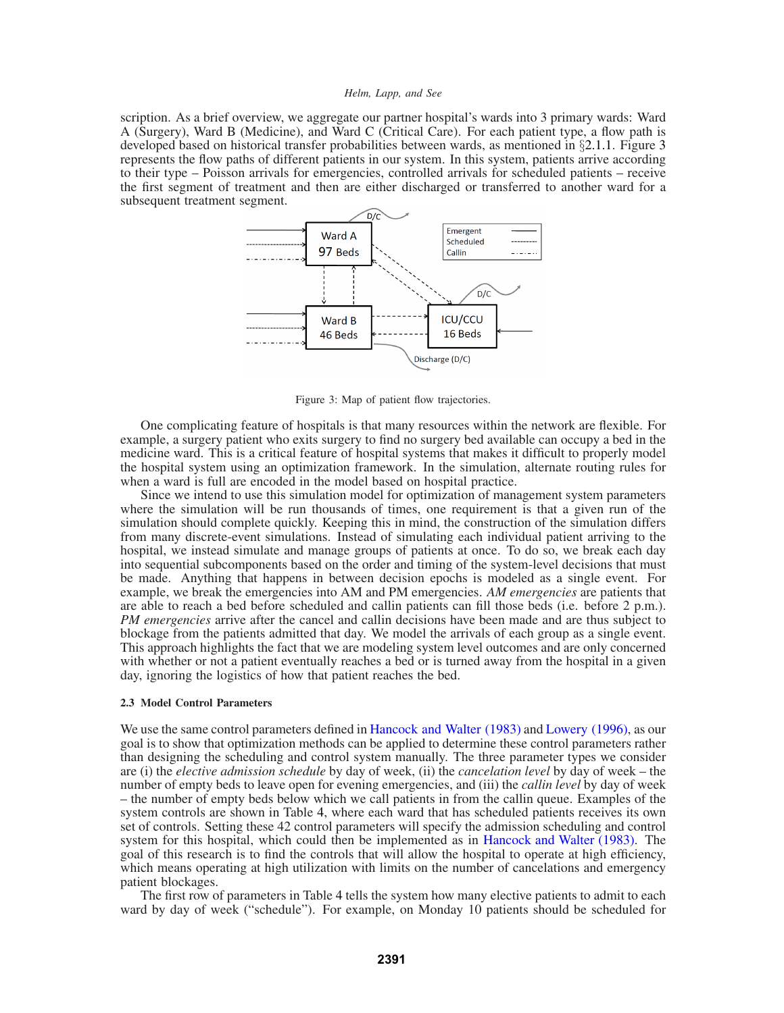scription. As a brief overview, we aggregate our partner hospital's wards into 3 primary wards: Ward A (Surgery), Ward B (Medicine), and Ward C (Critical Care). For each patient type, a flow path is developed based on historical transfer probabilities between wards, as mentioned in §2.1.1. Figure 3 represents the flow paths of different patients in our system. In this system, patients arrive according to their type – Poisson arrivals for emergencies, controlled arrivals for scheduled patients – receive the first segment of treatment and then are either discharged or transferred to another ward for a subsequent treatment segment.



Figure 3: Map of patient flow trajectories.

One complicating feature of hospitals is that many resources within the network are flexible. For example, a surgery patient who exits surgery to find no surgery bed available can occupy a bed in the medicine ward. This is a critical feature of hospital systems that makes it difficult to properly model the hospital system using an optimization framework. In the simulation, alternate routing rules for when a ward is full are encoded in the model based on hospital practice.

Since we intend to use this simulation model for optimization of management system parameters where the simulation will be run thousands of times, one requirement is that a given run of the simulation should complete quickly. Keeping this in mind, the construction of the simulation differs from many discrete-event simulations. Instead of simulating each individual patient arriving to the hospital, we instead simulate and manage groups of patients at once. To do so, we break each day into sequential subcomponents based on the order and timing of the system-level decisions that must be made. Anything that happens in between decision epochs is modeled as a single event. For example, we break the emergencies into AM and PM emergencies. *AM emergencies* are patients that are able to reach a bed before scheduled and callin patients can fill those beds (i.e. before 2 p.m.). *PM emergencies* arrive after the cancel and callin decisions have been made and are thus subject to blockage from the patients admitted that day. We model the arrivals of each group as a single event. This approach highlights the fact that we are modeling system level outcomes and are only concerned with whether or not a patient eventually reaches a bed or is turned away from the hospital in a given day, ignoring the logistics of how that patient reaches the bed.

# **2.3 Model Control Parameters**

We use the same control parameters defined in Hancock and Walter (1983) and Lowery (1996), as our goal is to show that optimization methods can be applied to determine these control parameters rather than designing the scheduling and control system manually. The three parameter types we consider are (i) the *elective admission schedule* by day of week, (ii) the *cancelation level* by day of week – the number of empty beds to leave open for evening emergencies, and (iii) the *callin level* by day of week – the number of empty beds below which we call patients in from the callin queue. Examples of the system controls are shown in Table 4, where each ward that has scheduled patients receives its own set of controls. Setting these 42 control parameters will specify the admission scheduling and control system for this hospital, which could then be implemented as in Hancock and Walter (1983). The goal of this research is to find the controls that will allow the hospital to operate at high efficiency, which means operating at high utilization with limits on the number of cancelations and emergency patient blockages.

The first row of parameters in Table 4 tells the system how many elective patients to admit to each ward by day of week ("schedule"). For example, on Monday 10 patients should be scheduled for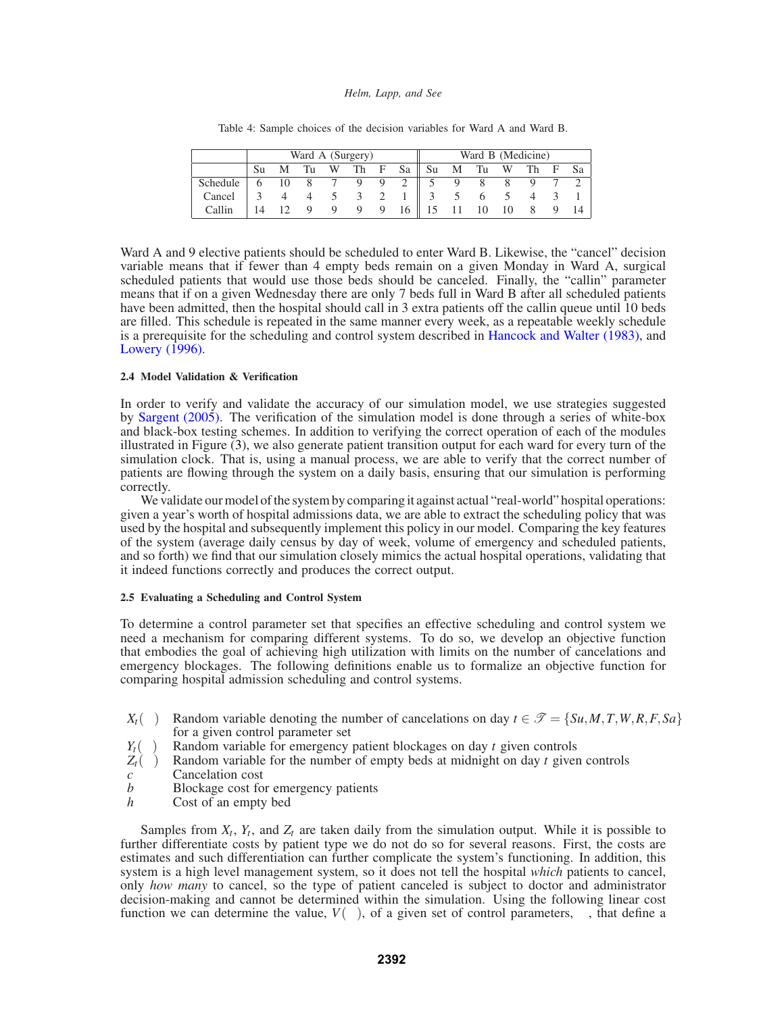|          | Ward A (Surgery) |    |                |   |                |             | Ward B (Medicine) |    |   |    |    |    |   |      |
|----------|------------------|----|----------------|---|----------------|-------------|-------------------|----|---|----|----|----|---|------|
|          |                  |    | Tu             | W | Th             | F           | Sa                | Su | M | Tu | W  | Th | F | - Sa |
| Schedule |                  | 10 | 8              |   | $\mathbf Q$    | $\mathbf Q$ | $\mathcal{D}$     |    | 9 |    | 8  | 9  |   |      |
| Cancel   |                  |    | $\overline{4}$ |   | $\mathfrak{I}$ |             |                   |    |   | O  |    |    |   |      |
| Callin   |                  |    | $\mathbf Q$    | Q | 9              | 9           | 16                |    |   |    | 10 |    | 9 |      |

Table 4: Sample choices of the decision variables for Ward A and Ward B.

Ward A and 9 elective patients should be scheduled to enter Ward B. Likewise, the "cancel" decision variable means that if fewer than 4 empty beds remain on a given Monday in Ward A, surgical scheduled patients that would use those beds should be canceled. Finally, the "callin" parameter means that if on a given Wednesday there are only 7 beds full in Ward B after all scheduled patients have been admitted, then the hospital should call in 3 extra patients off the callin queue until 10 beds are filled. This schedule is repeated in the same manner every week, as a repeatable weekly schedule is a prerequisite for the scheduling and control system described in Hancock and Walter (1983), and Lowery (1996).

### **2.4 Model Validation & Verification**

In order to verify and validate the accuracy of our simulation model, we use strategies suggested by Sargent (2005). The verification of the simulation model is done through a series of white-box and black-box testing schemes. In addition to verifying the correct operation of each of the modules illustrated in Figure (3), we also generate patient transition output for each ward for every turn of the simulation clock. That is, using a manual process, we are able to verify that the correct number of patients are flowing through the system on a daily basis, ensuring that our simulation is performing correctly.

We validate our model of the system by comparing it against actual "real-world" hospital operations: given a year's worth of hospital admissions data, we are able to extract the scheduling policy that was used by the hospital and subsequently implement this policy in our model. Comparing the key features of the system (average daily census by day of week, volume of emergency and scheduled patients, and so forth) we find that our simulation closely mimics the actual hospital operations, validating that it indeed functions correctly and produces the correct output.

## **2.5 Evaluating a Scheduling and Control System**

To determine a control parameter set that specifies an effective scheduling and control system we need a mechanism for comparing different systems. To do so, we develop an objective function that embodies the goal of achieving high utilization with limits on the number of cancelations and emergency blockages. The following definitions enable us to formalize an objective function for comparing hospital admission scheduling and control systems.

- *X<sub>t</sub>*( $\Theta$ ) Random variable denoting the number of cancelations on day  $t \in \mathcal{T} = \{Su, M, T, W, R, F, Sa\}$ for a given control parameter set Θ
- *Yt*(Θ) Random variable for emergency patient blockages on day *t* given controls Θ
- *Zt*(Θ) Random variable for the number of empty beds at midnight on day *t* given controls Θ *c* Cancelation cost
- *b* Blockage cost for emergency patients
- *h* Cost of an empty bed

Samples from  $X_t$ ,  $Y_t$ , and  $Z_t$  are taken daily from the simulation output. While it is possible to further differentiate costs by patient type we do not do so for several reasons. First, the costs are estimates and such differentiation can further complicate the system's functioning. In addition, this system is a high level management system, so it does not tell the hospital *which* patients to cancel, only *how many* to cancel, so the type of patient canceled is subject to doctor and administrator decision-making and cannot be determined within the simulation. Using the following linear cost function we can determine the value, *V*(Θ), of a given set of control parameters, Θ, that define a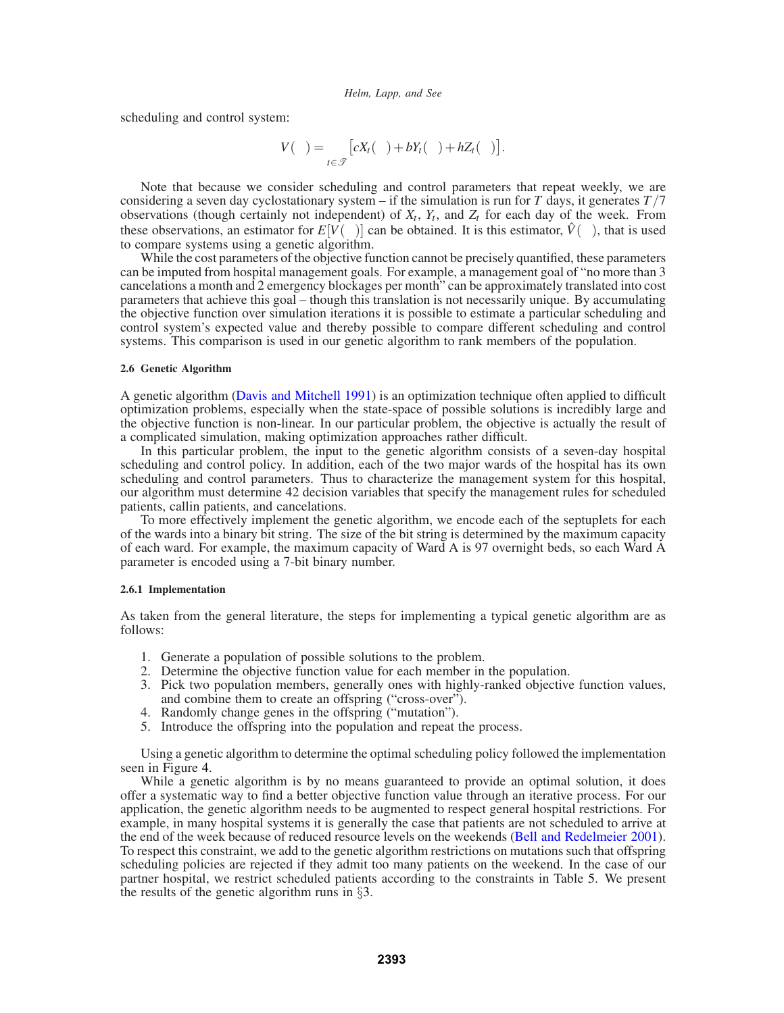scheduling and control system:

$$
V(\Theta) = \sum_{t \in \mathcal{T}} \left[ cX_t(\Theta) + bY_t(\Theta) + hZ_t(\Theta) \right].
$$

Note that because we consider scheduling and control parameters that repeat weekly, we are considering a seven day cyclostationary system – if the simulation is run for *T* days, it generates *T*/7 observations (though certainly not independent) of  $X_t$ ,  $Y_t$ , and  $Z_t$  for each day of the week. From these observations, an estimator for  $E[V(\Theta)]$  can be obtained. It is this estimator,  $\hat{V}(\Theta)$ , that is used to compare systems using a genetic algorithm.

While the cost parameters of the objective function cannot be precisely quantified, these parameters can be imputed from hospital management goals. For example, a management goal of "no more than 3 cancelations a month and 2 emergency blockages per month" can be approximately translated into cost parameters that achieve this goal – though this translation is not necessarily unique. By accumulating the objective function over simulation iterations it is possible to estimate a particular scheduling and control system's expected value and thereby possible to compare different scheduling and control systems. This comparison is used in our genetic algorithm to rank members of the population.

#### **2.6 Genetic Algorithm**

A genetic algorithm (Davis and Mitchell 1991) is an optimization technique often applied to difficult optimization problems, especially when the state-space of possible solutions is incredibly large and the objective function is non-linear. In our particular problem, the objective is actually the result of a complicated simulation, making optimization approaches rather difficult.

In this particular problem, the input to the genetic algorithm consists of a seven-day hospital scheduling and control policy. In addition, each of the two major wards of the hospital has its own scheduling and control parameters. Thus to characterize the management system for this hospital, our algorithm must determine 42 decision variables that specify the management rules for scheduled patients, callin patients, and cancelations.

To more effectively implement the genetic algorithm, we encode each of the septuplets for each of the wards into a binary bit string. The size of the bit string is determined by the maximum capacity of each ward. For example, the maximum capacity of Ward A is 97 overnight beds, so each Ward A parameter is encoded using a 7-bit binary number.

### **2.6.1 Implementation**

As taken from the general literature, the steps for implementing a typical genetic algorithm are as follows:

- 1. Generate a population of possible solutions to the problem.
- 2. Determine the objective function value for each member in the population.
- 3. Pick two population members, generally ones with highly-ranked objective function values, and combine them to create an offspring ("cross-over").
- 4. Randomly change genes in the offspring ("mutation").
- 5. Introduce the offspring into the population and repeat the process.

Using a genetic algorithm to determine the optimal scheduling policy followed the implementation seen in Figure 4.

While a genetic algorithm is by no means guaranteed to provide an optimal solution, it does offer a systematic way to find a better objective function value through an iterative process. For our application, the genetic algorithm needs to be augmented to respect general hospital restrictions. For example, in many hospital systems it is generally the case that patients are not scheduled to arrive at the end of the week because of reduced resource levels on the weekends (Bell and Redelmeier 2001). To respect this constraint, we add to the genetic algorithm restrictions on mutations such that offspring scheduling policies are rejected if they admit too many patients on the weekend. In the case of our partner hospital, we restrict scheduled patients according to the constraints in Table 5. We present the results of the genetic algorithm runs in §3.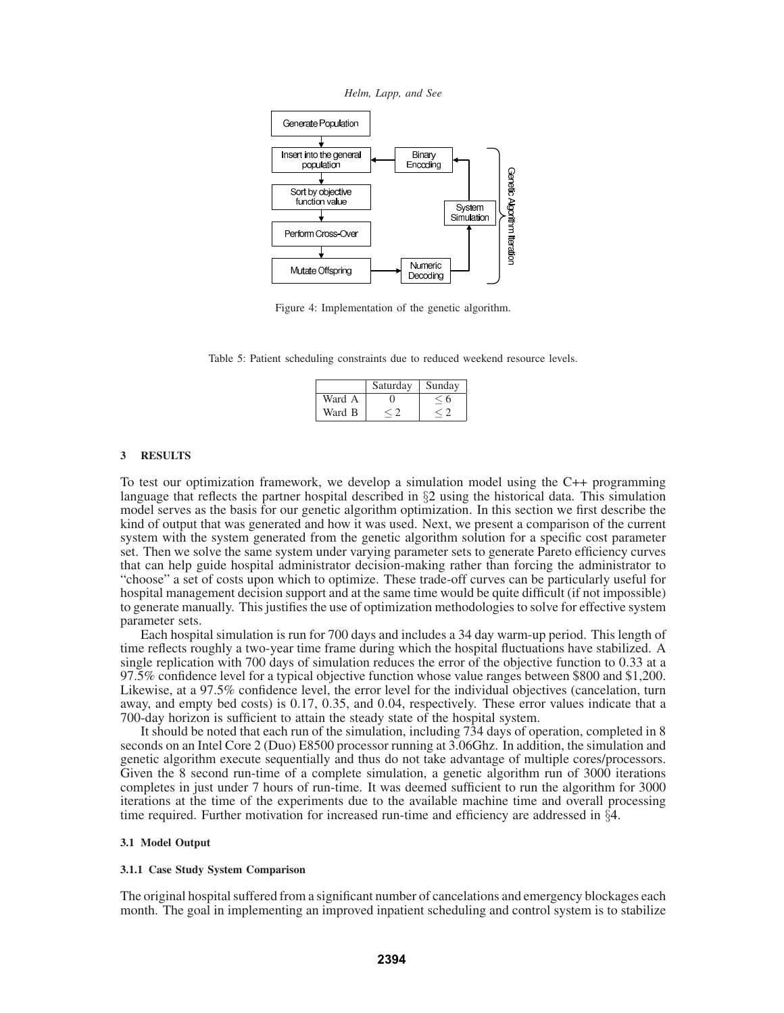



Figure 4: Implementation of the genetic algorithm.

Table 5: Patient scheduling constraints due to reduced weekend resource levels.

|        | Saturday | Sunday |
|--------|----------|--------|
| Ward A |          |        |
| Ward B |          |        |

# **3 RESULTS**

To test our optimization framework, we develop a simulation model using the C++ programming language that reflects the partner hospital described in §2 using the historical data. This simulation model serves as the basis for our genetic algorithm optimization. In this section we first describe the kind of output that was generated and how it was used. Next, we present a comparison of the current system with the system generated from the genetic algorithm solution for a specific cost parameter set. Then we solve the same system under varying parameter sets to generate Pareto efficiency curves that can help guide hospital administrator decision-making rather than forcing the administrator to "choose" a set of costs upon which to optimize. These trade-off curves can be particularly useful for hospital management decision support and at the same time would be quite difficult (if not impossible) to generate manually. This justifies the use of optimization methodologies to solve for effective system parameter sets.

Each hospital simulation is run for 700 days and includes a 34 day warm-up period. This length of time reflects roughly a two-year time frame during which the hospital fluctuations have stabilized. A single replication with 700 days of simulation reduces the error of the objective function to 0.33 at a 97.5% confidence level for a typical objective function whose value ranges between \$800 and \$1,200. Likewise, at a 97.5% confidence level, the error level for the individual objectives (cancelation, turn away, and empty bed costs) is 0.17, 0.35, and 0.04, respectively. These error values indicate that a 700-day horizon is sufficient to attain the steady state of the hospital system.

It should be noted that each run of the simulation, including 734 days of operation, completed in 8 seconds on an Intel Core 2 (Duo) E8500 processor running at 3.06Ghz. In addition, the simulation and genetic algorithm execute sequentially and thus do not take advantage of multiple cores/processors. Given the 8 second run-time of a complete simulation, a genetic algorithm run of 3000 iterations completes in just under 7 hours of run-time. It was deemed sufficient to run the algorithm for 3000 iterations at the time of the experiments due to the available machine time and overall processing time required. Further motivation for increased run-time and efficiency are addressed in §4.

# **3.1 Model Output**

#### **3.1.1 Case Study System Comparison**

The original hospital suffered from a significant number of cancelations and emergency blockages each month. The goal in implementing an improved inpatient scheduling and control system is to stabilize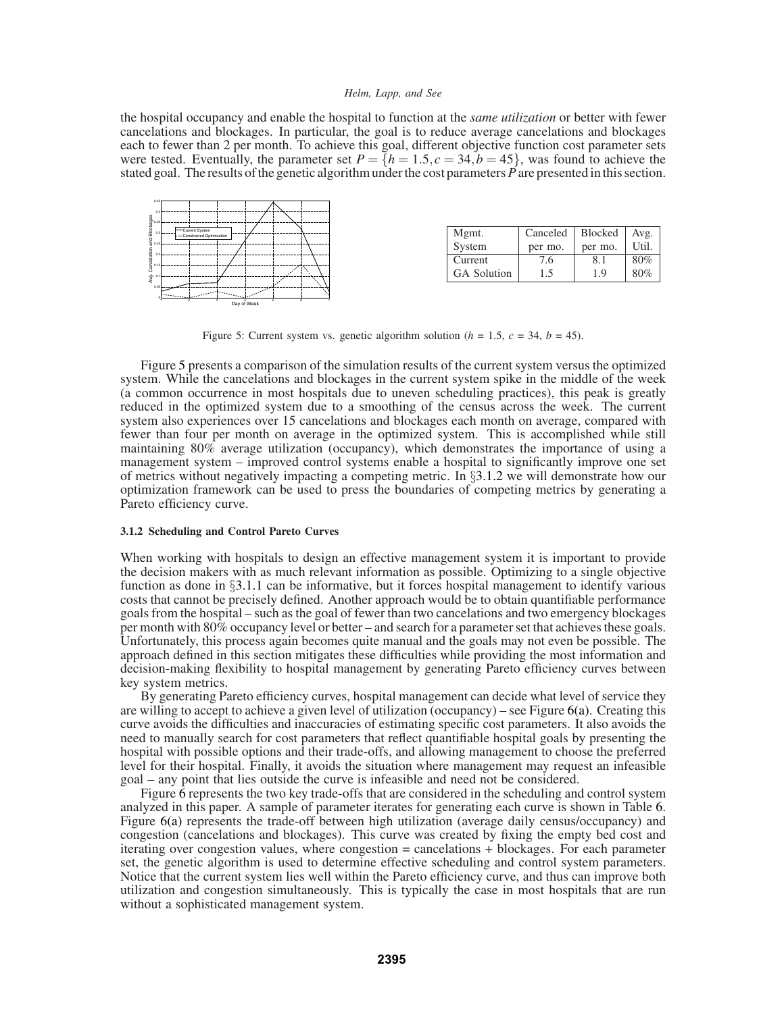the hospital occupancy and enable the hospital to function at the *same utilization* or better with fewer cancelations and blockages. In particular, the goal is to reduce average cancelations and blockages each to fewer than 2 per month. To achieve this goal, different objective function cost parameter sets were tested. Eventually, the parameter set  $P = \{h = 1.5, c = 34, b = 45\}$ , was found to achieve the stated goal. The results of the genetic algorithm under the cost parameters  $\vec{P}$  are presented in this section.



| Current System           | Mgmt.              | Canceled | Blocked | Avg.  |
|--------------------------|--------------------|----------|---------|-------|
| Constrained Optimization |                    |          |         |       |
|                          | System             | per mo.  | per mo. | Util. |
|                          | Current            |          |         | 80%   |
|                          | <b>GA</b> Solution |          |         | 80%   |

Figure 5: Current system vs. genetic algorithm solution ( $h = 1.5$ ,  $c = 34$ ,  $b = 45$ ).

Figure 5 presents a comparison of the simulation results of the current system versus the optimized system. While the cancelations and blockages in the current system spike in the middle of the week (a common occurrence in most hospitals due to uneven scheduling practices), this peak is greatly reduced in the optimized system due to a smoothing of the census across the week. The current system also experiences over 15 cancelations and blockages each month on average, compared with fewer than four per month on average in the optimized system. This is accomplished while still maintaining 80% average utilization (occupancy), which demonstrates the importance of using a management system – improved control systems enable a hospital to significantly improve one set of metrics without negatively impacting a competing metric. In  $\S 3.1.2$  we will demonstrate how our optimization framework can be used to press the boundaries of competing metrics by generating a Pareto efficiency curve.

#### **3.1.2 Scheduling and Control Pareto Curves**

When working with hospitals to design an effective management system it is important to provide the decision makers with as much relevant information as possible. Optimizing to a single objective function as done in §3.1.1 can be informative, but it forces hospital management to identify various costs that cannot be precisely defined. Another approach would be to obtain quantifiable performance goals from the hospital – such as the goal of fewer than two cancelations and two emergency blockages per month with 80% occupancy level or better – and search for a parameter set that achieves these goals. Unfortunately, this process again becomes quite manual and the goals may not even be possible. The approach defined in this section mitigates these difficulties while providing the most information and decision-making flexibility to hospital management by generating Pareto efficiency curves between key system metrics.

By generating Pareto efficiency curves, hospital management can decide what level of service they are willing to accept to achieve a given level of utilization (occupancy) – see Figure 6(a). Creating this curve avoids the difficulties and inaccuracies of estimating specific cost parameters. It also avoids the need to manually search for cost parameters that reflect quantifiable hospital goals by presenting the hospital with possible options and their trade-offs, and allowing management to choose the preferred level for their hospital. Finally, it avoids the situation where management may request an infeasible goal – any point that lies outside the curve is infeasible and need not be considered.

Figure 6 represents the two key trade-offs that are considered in the scheduling and control system analyzed in this paper. A sample of parameter iterates for generating each curve is shown in Table 6. Figure 6(a) represents the trade-off between high utilization (average daily census/occupancy) and congestion (cancelations and blockages). This curve was created by fixing the empty bed cost and iterating over congestion values, where congestion = cancelations + blockages. For each parameter set, the genetic algorithm is used to determine effective scheduling and control system parameters. Notice that the current system lies well within the Pareto efficiency curve, and thus can improve both utilization and congestion simultaneously. This is typically the case in most hospitals that are run without a sophisticated management system.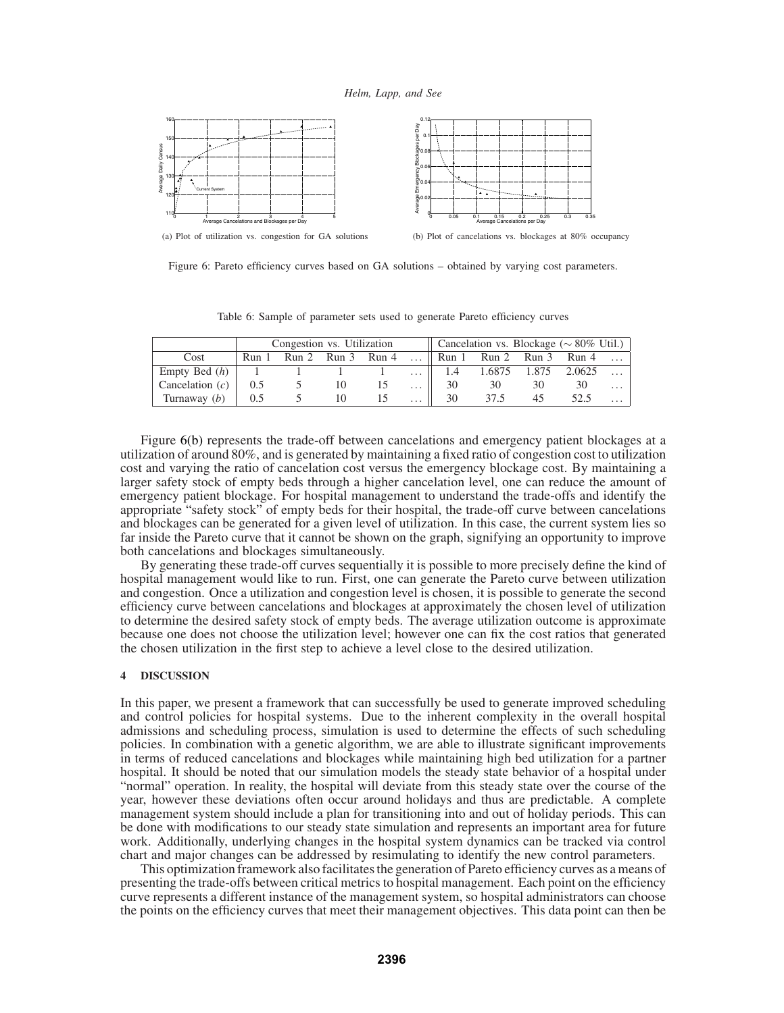

Figure 6: Pareto efficiency curves based on GA solutions – obtained by varying cost parameters.

|                     |     | Congestion vs. Utilization |    |                     |          | Cancelation vs. Blockage ( $\sim 80\%$ Util.) |                         |    |                           |          |
|---------------------|-----|----------------------------|----|---------------------|----------|-----------------------------------------------|-------------------------|----|---------------------------|----------|
| Cost                |     | Run 1 Run 2 Run 3 Run 4    |    |                     |          |                                               | Run 1 Run 2 Run 3 Run 4 |    |                           |          |
| Empty Bed $(h)$   1 |     |                            |    | $\sim$ 1.000 $\sim$ |          | 1.4                                           |                         |    | $1.6875$ $1.875$ $2.0625$ |          |
| Cancelation $(c)$   | 0.5 |                            | 10 | 15                  |          | 30                                            | 30                      | 30 | 30                        | $\cdots$ |
| Turnaway $(b)$      | 0.5 |                            | 10 | 15                  | $\cdots$ | 30                                            | 37.5                    | 45 | 52.5                      | $\cdots$ |

Table 6: Sample of parameter sets used to generate Pareto efficiency curves

Figure 6(b) represents the trade-off between cancelations and emergency patient blockages at a utilization of around 80%, and is generated by maintaining a fixed ratio of congestion cost to utilization cost and varying the ratio of cancelation cost versus the emergency blockage cost. By maintaining a larger safety stock of empty beds through a higher cancelation level, one can reduce the amount of emergency patient blockage. For hospital management to understand the trade-offs and identify the appropriate "safety stock" of empty beds for their hospital, the trade-off curve between cancelations and blockages can be generated for a given level of utilization. In this case, the current system lies so far inside the Pareto curve that it cannot be shown on the graph, signifying an opportunity to improve both cancelations and blockages simultaneously.

By generating these trade-off curves sequentially it is possible to more precisely define the kind of hospital management would like to run. First, one can generate the Pareto curve between utilization and congestion. Once a utilization and congestion level is chosen, it is possible to generate the second efficiency curve between cancelations and blockages at approximately the chosen level of utilization to determine the desired safety stock of empty beds. The average utilization outcome is approximate because one does not choose the utilization level; however one can fix the cost ratios that generated the chosen utilization in the first step to achieve a level close to the desired utilization.

# **4 DISCUSSION**

In this paper, we present a framework that can successfully be used to generate improved scheduling and control policies for hospital systems. Due to the inherent complexity in the overall hospital admissions and scheduling process, simulation is used to determine the effects of such scheduling policies. In combination with a genetic algorithm, we are able to illustrate significant improvements in terms of reduced cancelations and blockages while maintaining high bed utilization for a partner hospital. It should be noted that our simulation models the steady state behavior of a hospital under "normal" operation. In reality, the hospital will deviate from this steady state over the course of the year, however these deviations often occur around holidays and thus are predictable. A complete management system should include a plan for transitioning into and out of holiday periods. This can be done with modifications to our steady state simulation and represents an important area for future work. Additionally, underlying changes in the hospital system dynamics can be tracked via control chart and major changes can be addressed by resimulating to identify the new control parameters.

This optimization framework also facilitates the generation of Pareto efficiency curves as a means of presenting the trade-offs between critical metrics to hospital management. Each point on the efficiency curve represents a different instance of the management system, so hospital administrators can choose the points on the efficiency curves that meet their management objectives. This data point can then be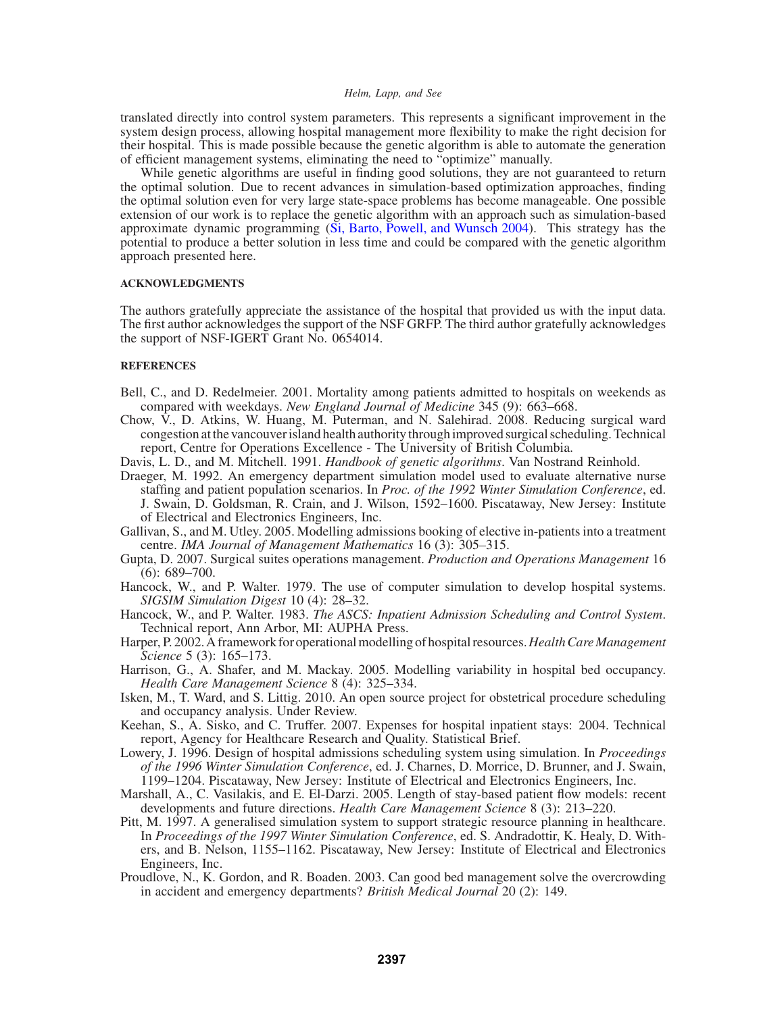translated directly into control system parameters. This represents a significant improvement in the system design process, allowing hospital management more flexibility to make the right decision for their hospital. This is made possible because the genetic algorithm is able to automate the generation of efficient management systems, eliminating the need to "optimize" manually.

While genetic algorithms are useful in finding good solutions, they are not guaranteed to return the optimal solution. Due to recent advances in simulation-based optimization approaches, finding the optimal solution even for very large state-space problems has become manageable. One possible extension of our work is to replace the genetic algorithm with an approach such as simulation-based approximate dynamic programming (Si, Barto, Powell, and Wunsch 2004). This strategy has the potential to produce a better solution in less time and could be compared with the genetic algorithm approach presented here.

### **ACKNOWLEDGMENTS**

The authors gratefully appreciate the assistance of the hospital that provided us with the input data. The first author acknowledges the support of the NSF GRFP. The third author gratefully acknowledges the support of NSF-IGERT Grant No. 0654014.

# **REFERENCES**

- Bell, C., and D. Redelmeier. 2001. Mortality among patients admitted to hospitals on weekends as compared with weekdays. *New England Journal of Medicine* 345 (9): 663–668.
- Chow, V., D. Atkins, W. Huang, M. Puterman, and N. Salehirad. 2008. Reducing surgical ward congestion at the vancouver island health authority through improved surgical scheduling. Technical report, Centre for Operations Excellence - The University of British Columbia.
- Davis, L. D., and M. Mitchell. 1991. *Handbook of genetic algorithms*. Van Nostrand Reinhold.
- Draeger, M. 1992. An emergency department simulation model used to evaluate alternative nurse staffing and patient population scenarios. In *Proc. of the 1992 Winter Simulation Conference*, ed. J. Swain, D. Goldsman, R. Crain, and J. Wilson, 1592–1600. Piscataway, New Jersey: Institute of Electrical and Electronics Engineers, Inc.
- Gallivan, S., and M. Utley. 2005. Modelling admissions booking of elective in-patients into a treatment centre. *IMA Journal of Management Mathematics* 16 (3): 305–315.
- Gupta, D. 2007. Surgical suites operations management. *Production and Operations Management* 16 (6): 689–700.
- Hancock, W., and P. Walter. 1979. The use of computer simulation to develop hospital systems. *SIGSIM Simulation Digest* 10 (4): 28–32.
- Hancock, W., and P. Walter. 1983. *The ASCS: Inpatient Admission Scheduling and Control System*. Technical report, Ann Arbor, MI: AUPHA Press.
- Harper, P. 2002. A framework for operational modelling of hospital resources.*Health Care Management Science* 5 (3): 165–173.
- Harrison, G., A. Shafer, and M. Mackay. 2005. Modelling variability in hospital bed occupancy. *Health Care Management Science* 8 (4): 325–334.
- Isken, M., T. Ward, and S. Littig. 2010. An open source project for obstetrical procedure scheduling and occupancy analysis. Under Review.
- Keehan, S., A. Sisko, and C. Truffer. 2007. Expenses for hospital inpatient stays: 2004. Technical report, Agency for Healthcare Research and Quality. Statistical Brief.
- Lowery, J. 1996. Design of hospital admissions scheduling system using simulation. In *Proceedings of the 1996 Winter Simulation Conference*, ed. J. Charnes, D. Morrice, D. Brunner, and J. Swain, 1199–1204. Piscataway, New Jersey: Institute of Electrical and Electronics Engineers, Inc.
- Marshall, A., C. Vasilakis, and E. El-Darzi. 2005. Length of stay-based patient flow models: recent developments and future directions. *Health Care Management Science* 8 (3): 213–220.
- Pitt, M. 1997. A generalised simulation system to support strategic resource planning in healthcare. In *Proceedings of the 1997 Winter Simulation Conference*, ed. S. Andradottir, K. Healy, D. Withers, and B. Nelson, 1155–1162. Piscataway, New Jersey: Institute of Electrical and Electronics Engineers, Inc.
- Proudlove, N., K. Gordon, and R. Boaden. 2003. Can good bed management solve the overcrowding in accident and emergency departments? *British Medical Journal* 20 (2): 149.